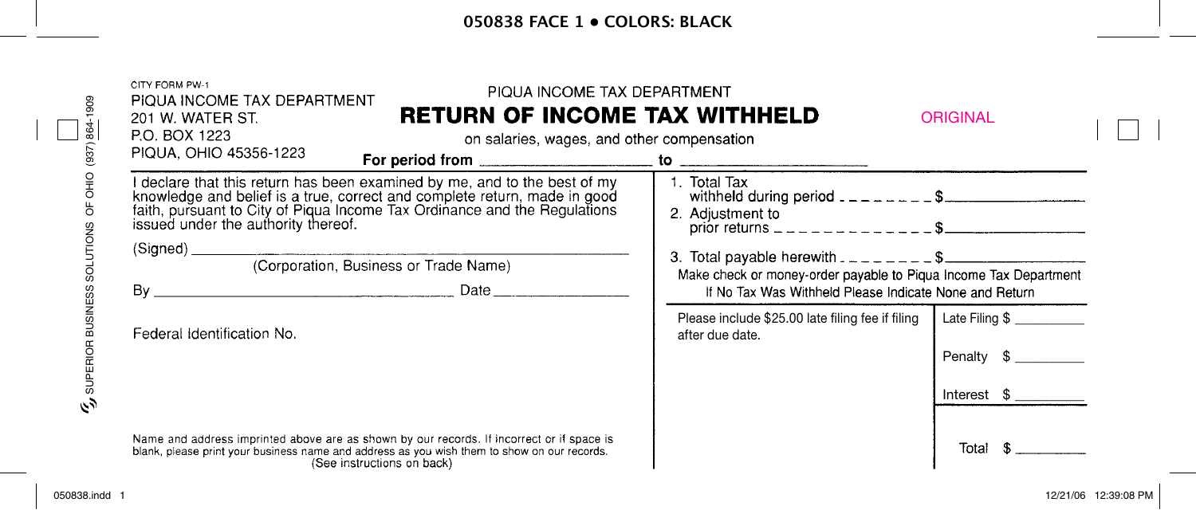## **050838 face 1 • colors: black**

| PIQUA INCOME TAX DEPARTMENT<br><b>RETURN OF INCOME TAX WITHHELD</b><br>201 W. WATER ST.<br>P.O. BOX 1223<br>on salaries, wages, and other compensation                                                                                                                     |                                                                                                               | <b>ORIGINAL</b> |  |
|----------------------------------------------------------------------------------------------------------------------------------------------------------------------------------------------------------------------------------------------------------------------------|---------------------------------------------------------------------------------------------------------------|-----------------|--|
| PIQUA, OHIO 45356-1223                                                                                                                                                                                                                                                     |                                                                                                               |                 |  |
| I declare that this return has been examined by me, and to the best of my<br>knowledge and belief is a true, correct and complete return, made in good<br>faith, pursuant to City of Piqua Income Tax Ordinance and the Regulations<br>issued under the authority thereof. | 1. Total Tax<br>withheld during period $2 - 2 = 2 - 5$<br>2. Adjustment to                                    |                 |  |
|                                                                                                                                                                                                                                                                            |                                                                                                               |                 |  |
| (Corporation, Business or Trade Name)                                                                                                                                                                                                                                      | 3. Total payable herewith $2 - 2 - 2 - 5$<br>Make check or money-order payable to Piqua Income Tax Department |                 |  |
| Date <b>Date</b>                                                                                                                                                                                                                                                           | If No Tax Was Withheld Please Indicate None and Return                                                        |                 |  |
| Federal Identification No.                                                                                                                                                                                                                                                 | Please include \$25.00 late filing fee if filing<br>after due date.                                           | Late Filing \$  |  |
|                                                                                                                                                                                                                                                                            |                                                                                                               | Penalty \$      |  |
|                                                                                                                                                                                                                                                                            |                                                                                                               | Interest \$     |  |
|                                                                                                                                                                                                                                                                            |                                                                                                               |                 |  |

 $\Box$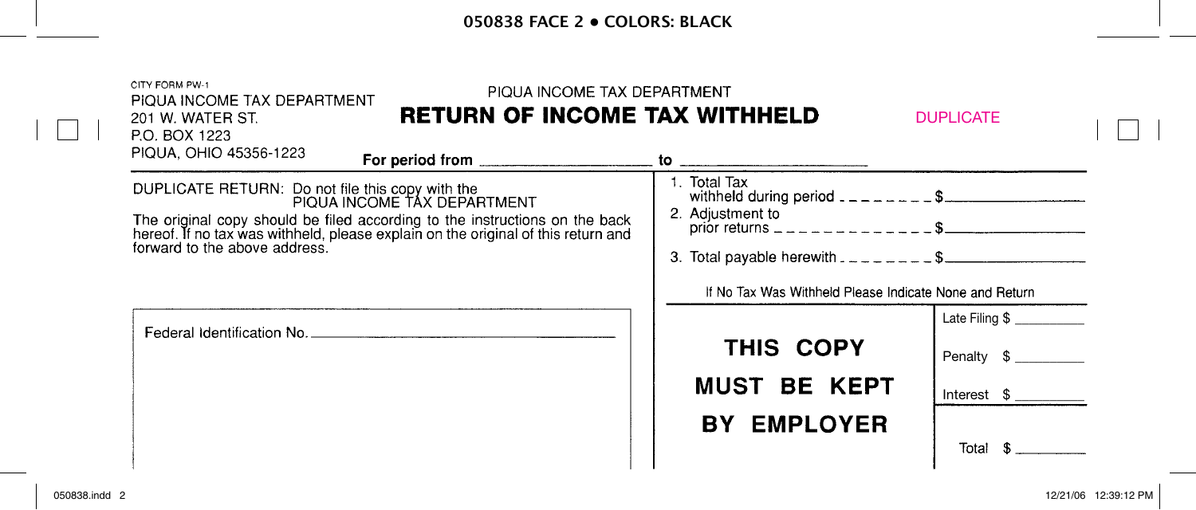## **050838 face 2 • colors: black**

|  | CITY FORM PW-1<br>PIQUA INCOME TAX DEPARTMENT<br>PIQUA INCOME TAX DEPARTMENT<br><b>RETURN OF INCOME TAX WITHHELD</b><br>201 W. WATER ST.<br>P.O. BOX 1223     |                                                        | <b>DUPLICATE</b> |  |
|--|---------------------------------------------------------------------------------------------------------------------------------------------------------------|--------------------------------------------------------|------------------|--|
|  | PIQUA, OHIO 45356-1223                                                                                                                                        |                                                        |                  |  |
|  | DUPLICATE RETURN: Do not file this copy with the<br>PIQUA INCOME TAX DEPARTMENT                                                                               | 1. Total Tax<br>withheld during period $1 - 2 - 2 - 5$ |                  |  |
|  | The original copy should be filed according to the instructions on the back hereof. If no tax was withheld, please explain on the original of this return and | 2. Adjustment to                                       |                  |  |
|  | forward to the above address.                                                                                                                                 | 3. Total payable herewith $2 - 2 - 1 - 3$              |                  |  |
|  |                                                                                                                                                               | If No Tax Was Withheld Please Indicate None and Return |                  |  |
|  |                                                                                                                                                               |                                                        | Late Filing \$   |  |
|  |                                                                                                                                                               | THIS COPY                                              | Penalty \$       |  |
|  |                                                                                                                                                               | <b>MUST BE KEPT</b>                                    | Interest \$      |  |
|  |                                                                                                                                                               | <b>BY EMPLOYER</b>                                     |                  |  |
|  |                                                                                                                                                               |                                                        | Total            |  |